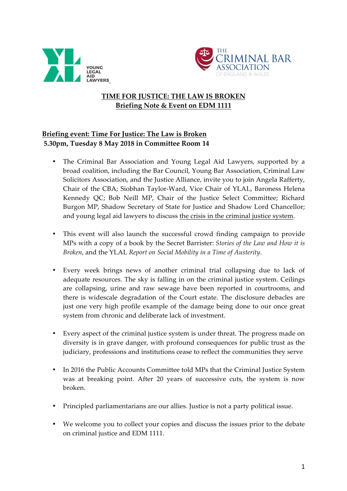



# **TIME FOR JUSTICE: THE LAW IS BROKEN Briefing Note & Event on EDM 1111**

## **Briefing event: Time For Justice: The Law is Broken 5.30pm, Tuesday 8 May 2018 in Committee Room 14**

- The Criminal Bar Association and Young Legal Aid Lawyers, supported by a broad coalition, including the Bar Council, Young Bar Association, Criminal Law Solicitors Association, and the Justice Alliance, invite you to join Angela Rafferty, Chair of the CBA; Siobhan Taylor-Ward, Vice Chair of YLAL, Baroness Helena Kennedy QC; Bob Neill MP, Chair of the Justice Select Committee; Richard Burgon MP, Shadow Secretary of State for Justice and Shadow Lord Chancellor; and young legal aid lawyers to discuss the crisis in the criminal justice system.
- This event will also launch the successful crowd finding campaign to provide MPs with a copy of a book by the Secret Barrister: *Stories of the Law and How it is Broken*, and the YLAL *Report on Social Mobility in a Time of Austerity*.
- Every week brings news of another criminal trial collapsing due to lack of adequate resources. The sky is falling in on the criminal justice system. Ceilings are collapsing, urine and raw sewage have been reported in courtrooms, and there is widescale degradation of the Court estate. The disclosure debacles are just one very high profile example of the damage being done to our once great system from chronic and deliberate lack of investment.
- Every aspect of the criminal justice system is under threat. The progress made on diversity is in grave danger, with profound consequences for public trust as the judiciary, professions and institutions cease to reflect the communities they serve
- In 2016 the Public Accounts Committee told MPs that the Criminal Justice System was at breaking point. After 20 years of successive cuts, the system is now broken.
- Principled parliamentarians are our allies. Justice is not a party political issue.
- We welcome you to collect your copies and discuss the issues prior to the debate on criminal justice and EDM 1111.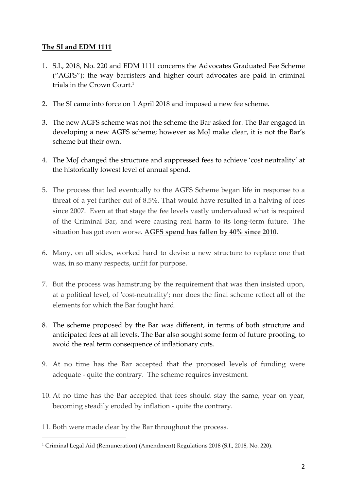## **The SI and EDM 1111**

- 1. S.I., 2018, No. 220 and EDM 1111 concerns the Advocates Graduated Fee Scheme ("AGFS"): the way barristers and higher court advocates are paid in criminal trials in the Crown Court.<sup>1</sup>
- 2. The SI came into force on 1 April 2018 and imposed a new fee scheme.
- 3. The new AGFS scheme was not the scheme the Bar asked for. The Bar engaged in developing a new AGFS scheme; however as MoJ make clear, it is not the Bar's scheme but their own.
- 4. The MoJ changed the structure and suppressed fees to achieve 'cost neutrality' at the historically lowest level of annual spend.
- 5. The process that led eventually to the AGFS Scheme began life in response to a threat of a yet further cut of 8.5%. That would have resulted in a halving of fees since 2007. Even at that stage the fee levels vastly undervalued what is required of the Criminal Bar, and were causing real harm to its long-term future. The situation has got even worse. **AGFS spend has fallen by 40% since 2010**.
- 6. Many, on all sides, worked hard to devise a new structure to replace one that was, in so many respects, unfit for purpose.
- 7. But the process was hamstrung by the requirement that was then insisted upon, at a political level, of 'cost-neutrality'; nor does the final scheme reflect all of the elements for which the Bar fought hard.
- 8. The scheme proposed by the Bar was different, in terms of both structure and anticipated fees at all levels. The Bar also sought some form of future proofing, to avoid the real term consequence of inflationary cuts.
- 9. At no time has the Bar accepted that the proposed levels of funding were adequate - quite the contrary. The scheme requires investment.
- 10. At no time has the Bar accepted that fees should stay the same, year on year, becoming steadily eroded by inflation - quite the contrary.
- 11. Both were made clear by the Bar throughout the process.

<sup>1</sup> Criminal Legal Aid (Remuneration) (Amendment) Regulations 2018 (S.I., 2018, No. 220).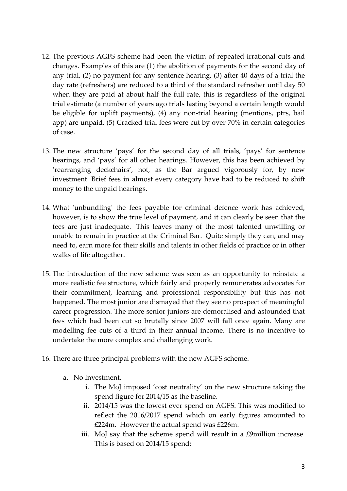- 12. The previous AGFS scheme had been the victim of repeated irrational cuts and changes. Examples of this are (1) the abolition of payments for the second day of any trial, (2) no payment for any sentence hearing, (3) after 40 days of a trial the day rate (refreshers) are reduced to a third of the standard refresher until day 50 when they are paid at about half the full rate, this is regardless of the original trial estimate (a number of years ago trials lasting beyond a certain length would be eligible for uplift payments), (4) any non-trial hearing (mentions, ptrs, bail app) are unpaid. (5) Cracked trial fees were cut by over 70% in certain categories of case.
- 13. The new structure 'pays' for the second day of all trials, 'pays' for sentence hearings, and 'pays' for all other hearings. However, this has been achieved by 'rearranging deckchairs', not, as the Bar argued vigorously for, by new investment. Brief fees in almost every category have had to be reduced to shift money to the unpaid hearings.
- 14. What 'unbundling' the fees payable for criminal defence work has achieved, however, is to show the true level of payment, and it can clearly be seen that the fees are just inadequate. This leaves many of the most talented unwilling or unable to remain in practice at the Criminal Bar. Quite simply they can, and may need to, earn more for their skills and talents in other fields of practice or in other walks of life altogether.
- 15. The introduction of the new scheme was seen as an opportunity to reinstate a more realistic fee structure, which fairly and properly remunerates advocates for their commitment, learning and professional responsibility but this has not happened. The most junior are dismayed that they see no prospect of meaningful career progression. The more senior juniors are demoralised and astounded that fees which had been cut so brutally since 2007 will fall once again. Many are modelling fee cuts of a third in their annual income. There is no incentive to undertake the more complex and challenging work.
- 16. There are three principal problems with the new AGFS scheme.
	- a. No Investment.
		- i. The MoJ imposed 'cost neutrality' on the new structure taking the spend figure for 2014/15 as the baseline.
		- ii. 2014/15 was the lowest ever spend on AGFS. This was modified to reflect the 2016/2017 spend which on early figures amounted to £224m. However the actual spend was £226m.
		- iii. MoJ say that the scheme spend will result in a £9million increase. This is based on 2014/15 spend;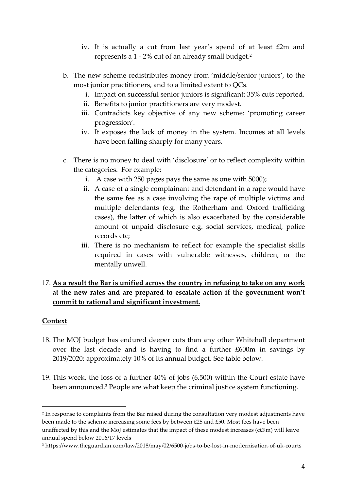- iv. It is actually a cut from last year's spend of at least £2m and represents a 1 - 2% cut of an already small budget. 2
- b. The new scheme redistributes money from 'middle/senior juniors', to the most junior practitioners, and to a limited extent to QCs.
	- i. Impact on successful senior juniors is significant: 35% cuts reported.
	- ii. Benefits to junior practitioners are very modest.
	- iii. Contradicts key objective of any new scheme: 'promoting career progression'.
	- iv. It exposes the lack of money in the system. Incomes at all levels have been falling sharply for many years.
- c. There is no money to deal with 'disclosure' or to reflect complexity within the categories. For example:
	- i. A case with 250 pages pays the same as one with 5000);
	- ii. A case of a single complainant and defendant in a rape would have the same fee as a case involving the rape of multiple victims and multiple defendants (e.g. the Rotherham and Oxford trafficking cases), the latter of which is also exacerbated by the considerable amount of unpaid disclosure e.g. social services, medical, police records etc;
	- iii. There is no mechanism to reflect for example the specialist skills required in cases with vulnerable witnesses, children, or the mentally unwell.

## 17. **As a result the Bar is unified across the country in refusing to take on any work at the new rates and are prepared to escalate action if the government won't commit to rational and significant investment.**

### **Context**

- 18. The MOJ budget has endured deeper cuts than any other Whitehall department over the last decade and is having to find a further £600m in savings by 2019/2020: approximately 10% of its annual budget. See table below.
- 19. This week, the loss of a further 40% of jobs (6,500) within the Court estate have been announced.3 People are what keep the criminal justice system functioning.

<sup>2</sup> In response to complaints from the Bar raised during the consultation very modest adjustments have been made to the scheme increasing some fees by between £25 and £50. Most fees have been unaffected by this and the MoJ estimates that the impact of these modest increases (c£9m) will leave annual spend below 2016/17 levels

<sup>3</sup> https://www.theguardian.com/law/2018/may/02/6500-jobs-to-be-lost-in-modernisation-of-uk-courts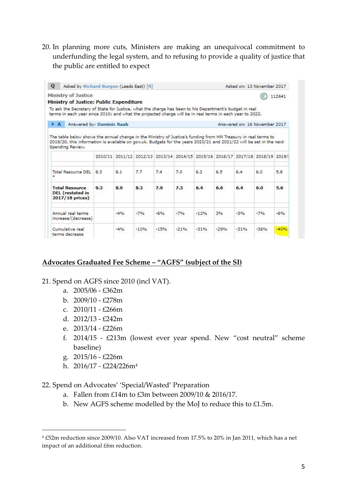20. In planning more cuts, Ministers are making an unequivocal commitment to underfunding the legal system, and to refusing to provide a quality of justice that the public are entitled to expect

| Q                                                                                                                                       | Asked by Richard Burgon (Leeds East) [N] |       |        |         |        |        | Asked on: 13 November 2017    |                                                                                |        |        |  |
|-----------------------------------------------------------------------------------------------------------------------------------------|------------------------------------------|-------|--------|---------|--------|--------|-------------------------------|--------------------------------------------------------------------------------|--------|--------|--|
| Ministry of Justice                                                                                                                     |                                          |       |        |         |        |        |                               |                                                                                |        | 112641 |  |
| Ministry of Justice: Public Expenditure                                                                                                 |                                          |       |        |         |        |        |                               |                                                                                |        |        |  |
| To ask the Secretary of State for Justice, what the charge has been to his Department's budget in real                                  |                                          |       |        |         |        |        |                               |                                                                                |        |        |  |
| terms in each year since 2010; and what the projected charge will be in real terms in each year to 2022.                                |                                          |       |        |         |        |        |                               |                                                                                |        |        |  |
| $\triangleright$ A<br>Answered by: Dominic Raab                                                                                         |                                          |       |        |         |        |        | Answered on: 16 November 2017 |                                                                                |        |        |  |
| 2019/20, this information is available on gov.uk. Budgets for the years 2020/21 and 2021/22 will be set in the next<br>Spending Review. |                                          |       |        |         |        |        |                               |                                                                                |        |        |  |
|                                                                                                                                         |                                          |       |        |         |        |        |                               | 2010/11 2011/12 2012/13 2013/14 2014/15 2015/16 2016/17 2017/18 2018/19 2019/1 |        |        |  |
| Total Resource DEL<br>ż                                                                                                                 | 8.3                                      | 8.1   | 7.7    | 7.4     | 7.0    | 6.2    | 6.5                           | 6.4                                                                            | 6.0    | 5.8    |  |
| <b>Total Resource</b><br>DEL (restated in<br>2017/18 prices)                                                                            | 9.3                                      | 8.9   | 8.3    | 7.9     | 7.3    | 6.4    | 6.6                           | 6.4                                                                            | 6.0    | 5.6    |  |
| Annual real terms<br>increase/(decrease)                                                                                                |                                          | $-4%$ | $-7%$  | $-6%$   | $-7%$  | $-12%$ | 3%                            | $-3%$                                                                          | $-7%$  | $-6%$  |  |
| Cumulative real<br>terms decrease                                                                                                       |                                          | $-4%$ | $-10%$ | $-1.5%$ | $-21%$ | $-31%$ | $-29%$                        | $-31%$                                                                         | $-36%$ | $-40%$ |  |

### **Advocates Graduated Fee Scheme – "AGFS" (subject of the SI)**

- 21. Spend on AGFS since 2010 (incl VAT).
	- a. 2005/06 £362m
	- b.  $2009/10 £278m$
	- c.  $2010/11 \text{\textsterling}266m$
	- d. 2012/13 £242m
	- e. 2013/14 £226m
	- f. 2014/15 £213m (lowest ever year spend. New "cost neutral" scheme baseline)
	- g. 2015/16 £226m

- h.  $2016/17 \pounds224/226m^4$
- 22. Spend on Advocates' 'Special/Wasted' Preparation
	- a. Fallen from £14m to £3m between 2009/10 & 2016/17.
	- b. New AGFS scheme modelled by the MoJ to reduce this to £1.5m.

<sup>4</sup> £52m reduction since 2009/10. Also VAT increased from 17.5% to 20% in Jan 2011, which has a net impact of an additional £6m reduction.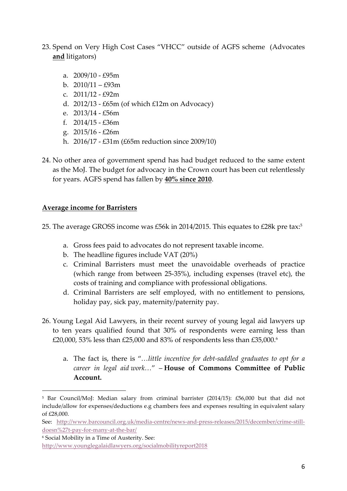- 23. Spend on Very High Cost Cases "VHCC" outside of AGFS scheme (Advocates **and** litigators)
	- a. 2009/10 £95m
	- b.  $2010/11 \text{\textsterling}93m$
	- c. 2011/12 £92m
	- d. 2012/13 £65m (of which £12m on Advocacy)
	- e. 2013/14 £56m
	- f. 2014/15 £36m
	- g. 2015/16 £26m
	- h. 2016/17 £31m (£65m reduction since 2009/10)
- 24. No other area of government spend has had budget reduced to the same extent as the MoJ. The budget for advocacy in the Crown court has been cut relentlessly for years. AGFS spend has fallen by **40% since 2010**.

#### **Average income for Barristers**

 

25. The average GROSS income was £56k in 2014/2015. This equates to £28k pre tax: 5

- a. Gross fees paid to advocates do not represent taxable income.
- b. The headline figures include VAT (20%)
- c. Criminal Barristers must meet the unavoidable overheads of practice (which range from between 25-35%), including expenses (travel etc), the costs of training and compliance with professional obligations.
- d. Criminal Barristers are self employed, with no entitlement to pensions, holiday pay, sick pay, maternity/paternity pay.
- 26. Young Legal Aid Lawyers, in their recent survey of young legal aid lawyers up to ten years qualified found that 30% of respondents were earning less than £20,000, 53% less than £25,000 and 83% of respondents less than £35,000.6
	- a. The fact is, there is "*…little incentive for debt-saddled graduates to opt for a career in legal aid work…*" – **House of Commons Committee of Public Account.**

<sup>5</sup> Bar Council/MoJ: Median salary from criminal barrister (2014/15): £56,000 but that did not include/allow for expenses/deductions e.g chambers fees and expenses resulting in equivalent salary of £28,000.

See: http://www.barcouncil.org.uk/media-centre/news-and-press-releases/2015/december/crime-stilldoesn%27t-pay-for-many-at-the-bar/

<sup>6</sup> Social Mobility in a Time of Austerity. See: http://www.younglegalaidlawyers.org/socialmobilityreport2018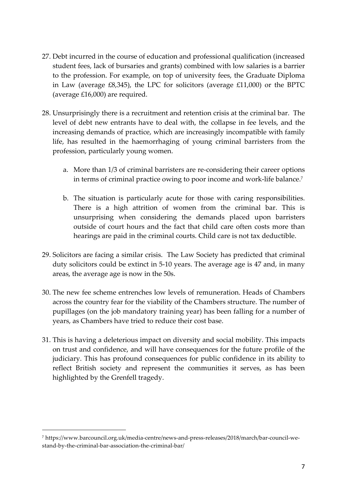- 27. Debt incurred in the course of education and professional qualification (increased student fees, lack of bursaries and grants) combined with low salaries is a barrier to the profession. For example, on top of university fees, the Graduate Diploma in Law (average £8,345), the LPC for solicitors (average £11,000) or the BPTC (average £16,000) are required.
- 28. Unsurprisingly there is a recruitment and retention crisis at the criminal bar. The level of debt new entrants have to deal with, the collapse in fee levels, and the increasing demands of practice, which are increasingly incompatible with family life, has resulted in the haemorrhaging of young criminal barristers from the profession, particularly young women.
	- a. More than 1/3 of criminal barristers are re-considering their career options in terms of criminal practice owing to poor income and work-life balance.7
	- b. The situation is particularly acute for those with caring responsibilities. There is a high attrition of women from the criminal bar. This is unsurprising when considering the demands placed upon barristers outside of court hours and the fact that child care often costs more than hearings are paid in the criminal courts. Child care is not tax deductible.
- 29. Solicitors are facing a similar crisis. The Law Society has predicted that criminal duty solicitors could be extinct in 5-10 years. The average age is 47 and, in many areas, the average age is now in the 50s.
- 30. The new fee scheme entrenches low levels of remuneration. Heads of Chambers across the country fear for the viability of the Chambers structure. The number of pupillages (on the job mandatory training year) has been falling for a number of years, as Chambers have tried to reduce their cost base.
- 31. This is having a deleterious impact on diversity and social mobility. This impacts on trust and confidence, and will have consequences for the future profile of the judiciary. This has profound consequences for public confidence in its ability to reflect British society and represent the communities it serves, as has been highlighted by the Grenfell tragedy.

<sup>7</sup> https://www.barcouncil.org.uk/media-centre/news-and-press-releases/2018/march/bar-council-westand-by-the-criminal-bar-association-the-criminal-bar/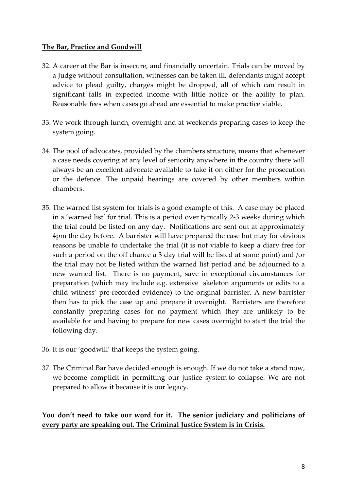### **The Bar, Practice and Goodwill**

- 32. A career at the Bar is insecure, and financially uncertain. Trials can be moved by a Judge without consultation, witnesses can be taken ill, defendants might accept advice to plead guilty, charges might be dropped, all of which can result in significant falls in expected income with little notice or the ability to plan. Reasonable fees when cases go ahead are essential to make practice viable.
- 33. We work through lunch, overnight and at weekends preparing cases to keep the system going.
- 34. The pool of advocates, provided by the chambers structure, means that whenever a case needs covering at any level of seniority anywhere in the country there will always be an excellent advocate available to take it on either for the prosecution or the defence. The unpaid hearings are covered by other members within chambers.
- 35. The warned list system for trials is a good example of this. A case may be placed in a 'warned list' for trial. This is a period over typically 2-3 weeks during which the trial could be listed on any day. Notifications are sent out at approximately 4pm the day before. A barrister will have prepared the case but may for obvious reasons be unable to undertake the trial (it is not viable to keep a diary free for such a period on the off chance a 3 day trial will be listed at some point) and /or the trial may not be listed within the warned list period and be adjourned to a new warned list. There is no payment, save in exceptional circumstances for preparation (which may include e.g. extensive skeleton arguments or edits to a child witness' pre-recorded evidence) to the original barrister. A new barrister then has to pick the case up and prepare it overnight. Barristers are therefore constantly preparing cases for no payment which they are unlikely to be available for and having to prepare for new cases overnight to start the trial the following day.
- 36. It is our 'goodwill' that keeps the system going.
- 37. The Criminal Bar have decided enough is enough. If we do not take a stand now, we become complicit in permitting our justice system to collapse. We are not prepared to allow it because it is our legacy.

**You don't need to take our word for it. The senior judiciary and politicians of every party are speaking out. The Criminal Justice System is in Crisis.**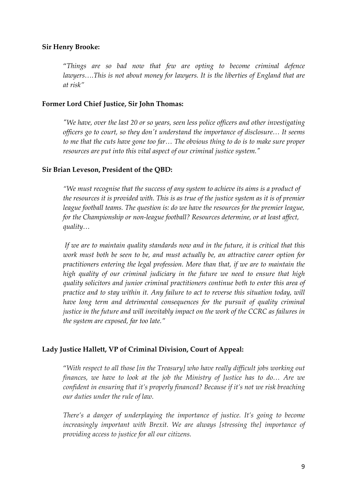#### **Sir Henry Brooke:**

"*Things are so bad now that few are opting to become criminal defence lawyers….This is not about money for lawyers. It is the liberties of England that are at risk"*

#### **Former Lord Chief Justice, Sir John Thomas:**

*"We have, over the last 20 or so years, seen less police officers and other investigating officers go to court, so they don't understand the importance of disclosure… It seems to me that the cuts have gone too far… The obvious thing to do is to make sure proper resources are put into this vital aspect of our criminal justice system."*

#### **Sir Brian Leveson, President of the QBD:**

*"We must recognise that the success of any system to achieve its aims is a product of the resources it is provided with. This is as true of the justice system as it is of premier league football teams. The question is: do we have the resources for the premier league, for the Championship or non-league football? Resources determine, or at least affect, quality…*

*If we are to maintain quality standards now and in the future, it is critical that this work must both be seen to be, and must actually be, an attractive career option for practitioners entering the legal profession. More than that, if we are to maintain the high quality of our criminal judiciary in the future we need to ensure that high quality solicitors and junior criminal practitioners continue both to enter this area of practice and to stay within it. Any failure to act to reverse this situation today, will have long term and detrimental consequences for the pursuit of quality criminal justice in the future and will inevitably impact on the work of the CCRC as failures in the system are exposed, far too late."*

#### **Lady Justice Hallett, VP of Criminal Division, Court of Appeal:**

"*With respect to all those [in the Treasury] who have really difficult jobs working out finances, we have to look at the job the Ministry of Justice has to do… Are we confident in ensuring that it's properly financed? Because if it's not we risk breaching our duties under the rule of law.*

*There's a danger of underplaying the importance of justice. It's going to become increasingly important with Brexit. We are always [stressing the] importance of providing access to justice for all our citizens.*